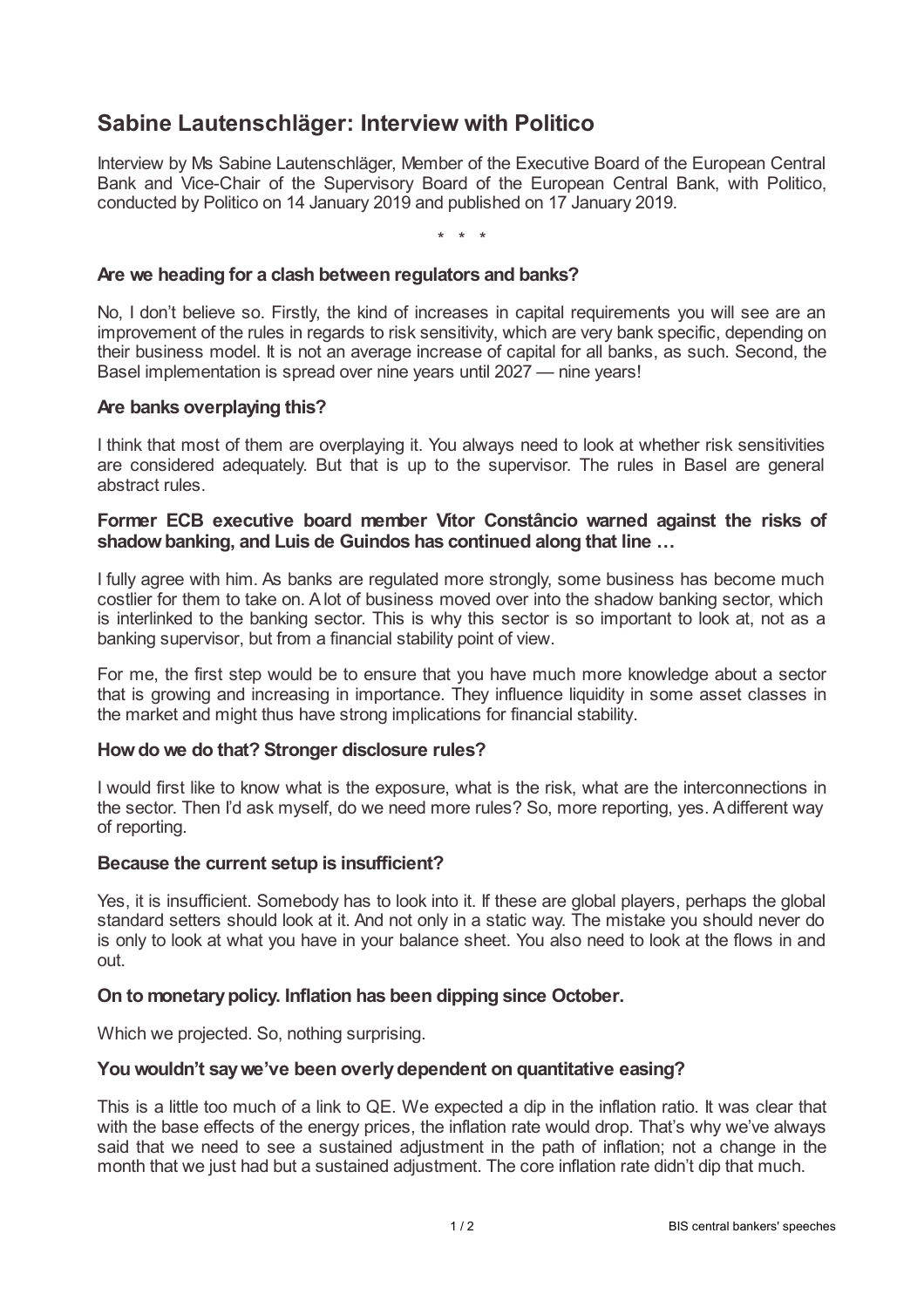# **Sabine Lautenschläger: Interview with Politico**

Interview by Ms Sabine Lautenschläger, Member of the Executive Board of the European Central Bank and Vice-Chair of the Supervisory Board of the European Central Bank, with Politico, conducted by Politico on 14 January 2019 and published on 17 January 2019.

\* \* \*

# **Are we heading for a clash between regulators and banks?**

No, I don't believe so. Firstly, the kind of increases in capital requirements you will see are an improvement of the rules in regards to risk sensitivity, which are very bank specific, depending on their business model. It is not an average increase of capital for all banks, as such. Second, the Basel implementation is spread over nine years until 2027 — nine years!

# **Are banks overplaying this?**

I think that most of them are overplaying it. You always need to look at whether risk sensitivities are considered adequately. But that is up to the supervisor. The rules in Basel are general abstract rules.

# **Former ECB executive board member Vítor Constâncio warned against the risks of shadowbanking, and Luis de Guindos has continued along that line …**

I fully agree with him. As banks are regulated more strongly, some business has become much costlier for them to take on. Alot of business moved over into the shadow banking sector, which is interlinked to the banking sector. This is why this sector is so important to look at, not as a banking supervisor, but from a financial stability point of view.

For me, the first step would be to ensure that you have much more knowledge about a sector that is growing and increasing in importance. They influence liquidity in some asset classes in the market and might thus have strong implications for financial stability.

## **Howdo we do that? Stronger disclosure rules?**

I would first like to know what is the exposure, what is the risk, what are the interconnections in the sector. Then I'd ask myself, do we need more rules? So, more reporting, yes. Adifferent way of reporting.

## **Because the current setup is insufficient?**

Yes, it is insufficient. Somebody has to look into it. If these are global players, perhaps the global standard setters should look at it. And not only in a static way. The mistake you should never do is only to look at what you have in your balance sheet. You also need to look at the flows in and out.

## **On to monetarypolicy. Inflation has been dipping since October.**

Which we projected. So, nothing surprising.

# **You wouldn't saywe've been overlydependent on quantitative easing?**

This is a little too much of a link to QE. We expected a dip in the inflation ratio. It was clear that with the base effects of the energy prices, the inflation rate would drop. That's why we've always said that we need to see a sustained adjustment in the path of inflation; not a change in the month that we just had but a sustained adjustment. The core inflation rate didn't dip that much.